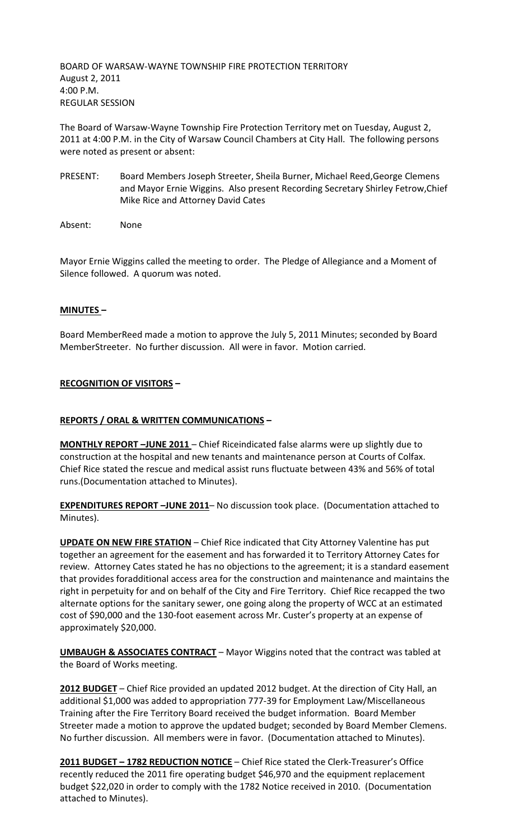BOARD OF WARSAW-WAYNE TOWNSHIP FIRE PROTECTION TERRITORY August 2, 2011 4:00 P.M. REGULAR SESSION

The Board of Warsaw-Wayne Township Fire Protection Territory met on Tuesday, August 2, 2011 at 4:00 P.M. in the City of Warsaw Council Chambers at City Hall. The following persons were noted as present or absent:

- PRESENT: Board Members Joseph Streeter, Sheila Burner, Michael Reed,George Clemens and Mayor Ernie Wiggins. Also present Recording Secretary Shirley Fetrow,Chief Mike Rice and Attorney David Cates
- Absent: None

Mayor Ernie Wiggins called the meeting to order. The Pledge of Allegiance and a Moment of Silence followed. A quorum was noted.

## **MINUTES –**

Board MemberReed made a motion to approve the July 5, 2011 Minutes; seconded by Board MemberStreeter. No further discussion. All were in favor. Motion carried.

### **RECOGNITION OF VISITORS –**

### **REPORTS / ORAL & WRITTEN COMMUNICATIONS –**

**MONTHLY REPORT -JUNE 2011** - Chief Riceindicated false alarms were up slightly due to construction at the hospital and new tenants and maintenance person at Courts of Colfax. Chief Rice stated the rescue and medical assist runs fluctuate between 43% and 56% of total runs.(Documentation attached to Minutes).

**EXPENDITURES REPORT –JUNE 2011**– No discussion took place. (Documentation attached to Minutes).

**UPDATE ON NEW FIRE STATION** – Chief Rice indicated that City Attorney Valentine has put together an agreement for the easement and has forwarded it to Territory Attorney Cates for review. Attorney Cates stated he has no objections to the agreement; it is a standard easement that provides foradditional access area for the construction and maintenance and maintains the right in perpetuity for and on behalf of the City and Fire Territory. Chief Rice recapped the two alternate options for the sanitary sewer, one going along the property of WCC at an estimated cost of \$90,000 and the 130-foot easement across Mr. Custer's property at an expense of approximately \$20,000.

**UMBAUGH & ASSOCIATES CONTRACT** – Mayor Wiggins noted that the contract was tabled at the Board of Works meeting.

**2012 BUDGET** – Chief Rice provided an updated 2012 budget. At the direction of City Hall, an additional \$1,000 was added to appropriation 777-39 for Employment Law/Miscellaneous Training after the Fire Territory Board received the budget information. Board Member Streeter made a motion to approve the updated budget; seconded by Board Member Clemens. No further discussion. All members were in favor. (Documentation attached to Minutes).

**2011 BUDGET – 1782 REDUCTION NOTICE** – Chief Rice stated the Clerk-Treasurer's Office recently reduced the 2011 fire operating budget \$46,970 and the equipment replacement budget \$22,020 in order to comply with the 1782 Notice received in 2010. (Documentation attached to Minutes).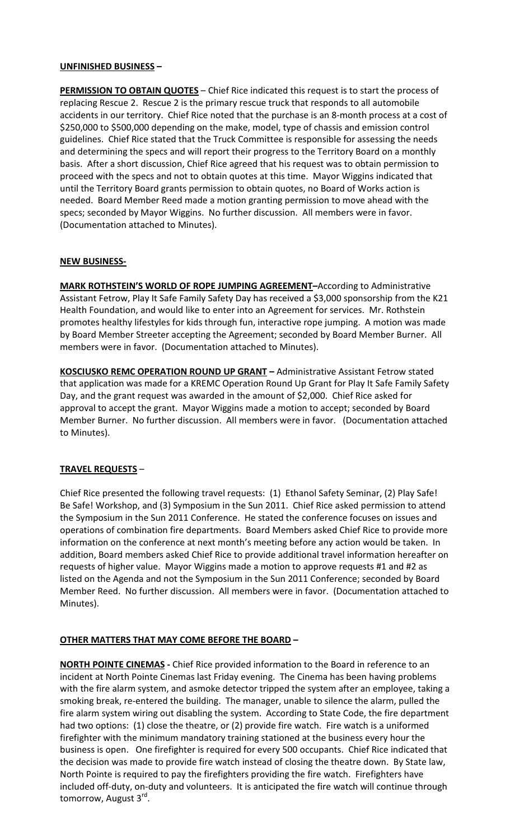### **UNFINISHED BUSINESS –**

**PERMISSION TO OBTAIN QUOTES** – Chief Rice indicated this request is to start the process of replacing Rescue 2. Rescue 2 is the primary rescue truck that responds to all automobile accidents in our territory. Chief Rice noted that the purchase is an 8-month process at a cost of \$250,000 to \$500,000 depending on the make, model, type of chassis and emission control guidelines. Chief Rice stated that the Truck Committee is responsible for assessing the needs and determining the specs and will report their progress to the Territory Board on a monthly basis. After a short discussion, Chief Rice agreed that his request was to obtain permission to proceed with the specs and not to obtain quotes at this time. Mayor Wiggins indicated that until the Territory Board grants permission to obtain quotes, no Board of Works action is needed. Board Member Reed made a motion granting permission to move ahead with the specs; seconded by Mayor Wiggins. No further discussion. All members were in favor. (Documentation attached to Minutes).

#### **NEW BUSINESS-**

**MARK ROTHSTEIN'S WORLD OF ROPE JUMPING AGREEMENT–**According to Administrative Assistant Fetrow, Play It Safe Family Safety Day has received a \$3,000 sponsorship from the K21 Health Foundation, and would like to enter into an Agreement for services. Mr. Rothstein promotes healthy lifestyles for kids through fun, interactive rope jumping. A motion was made by Board Member Streeter accepting the Agreement; seconded by Board Member Burner. All members were in favor. (Documentation attached to Minutes).

**KOSCIUSKO REMC OPERATION ROUND UP GRANT –** Administrative Assistant Fetrow stated that application was made for a KREMC Operation Round Up Grant for Play It Safe Family Safety Day, and the grant request was awarded in the amount of \$2,000. Chief Rice asked for approval to accept the grant. Mayor Wiggins made a motion to accept; seconded by Board Member Burner. No further discussion. All members were in favor. (Documentation attached to Minutes).

### **TRAVEL REQUESTS** –

Chief Rice presented the following travel requests: (1) Ethanol Safety Seminar, (2) Play Safe! Be Safe! Workshop, and (3) Symposium in the Sun 2011. Chief Rice asked permission to attend the Symposium in the Sun 2011 Conference. He stated the conference focuses on issues and operations of combination fire departments. Board Members asked Chief Rice to provide more information on the conference at next month's meeting before any action would be taken. In addition, Board members asked Chief Rice to provide additional travel information hereafter on requests of higher value. Mayor Wiggins made a motion to approve requests #1 and #2 as listed on the Agenda and not the Symposium in the Sun 2011 Conference; seconded by Board Member Reed. No further discussion. All members were in favor. (Documentation attached to Minutes).

### **OTHER MATTERS THAT MAY COME BEFORE THE BOARD –**

**NORTH POINTE CINEMAS -** Chief Rice provided information to the Board in reference to an incident at North Pointe Cinemas last Friday evening. The Cinema has been having problems with the fire alarm system, and asmoke detector tripped the system after an employee, taking a smoking break, re-entered the building. The manager, unable to silence the alarm, pulled the fire alarm system wiring out disabling the system. According to State Code, the fire department had two options: (1) close the theatre, or (2) provide fire watch. Fire watch is a uniformed firefighter with the minimum mandatory training stationed at the business every hour the business is open. One firefighter is required for every 500 occupants. Chief Rice indicated that the decision was made to provide fire watch instead of closing the theatre down. By State law, North Pointe is required to pay the firefighters providing the fire watch. Firefighters have included off-duty, on-duty and volunteers. It is anticipated the fire watch will continue through tomorrow, August 3<sup>rd</sup>.